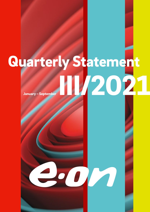# *Quarterly Statement January–September III/2021*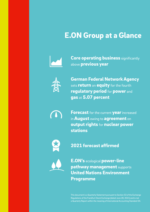# *E.ON Group at a Glance*



*Core operating business significantly above previous year*



*German Federal Network Agency sets return on equity for the fourth regulatory period for power and gas at 5.07 percent*



*Forecast for the current year increased in August owing to agreement on output rights for nuclear power stations* 



# *2021 forecast affirmed*



*E.ON's ecological power-line pathway management supports United Nations Environment Programme* 

*This document is a Quarterly Statement pursuant to Section 53 of the Exchange Regulations of the Frankfurt Stock Exchange (dated June 28, 2021) and is not a Quarterly Report within the meaning of International Accounting Standard 34.*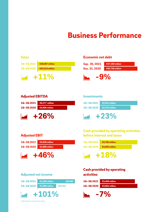# *Business Performance*

#### *Sales*

| 10-30 2021 | €48,087 million |
|------------|-----------------|
| 1Q-3Q 2020 | €43,314 million |
|            |                 |

# *Adjusted EBITDA*

| 1Q-3Q 2021 €6,277 million |      |
|---------------------------|------|
| 1Q-3Q 2020 €4,966 million |      |
|                           | nenz |



# *Adjusted EBIT*

| 10-30 2021 | €3,928 million |
|------------|----------------|
| 1Q-3Q 2020 | €2,688 million |
|            | $+46%$         |

## *Adjusted net income*

| 10-30 2021 | €2,189 million | $(E0.84)$ <sup>1</sup> |
|------------|----------------|------------------------|
| 1Q-3Q 2020 | €1,089 million | $(€0.42)^1$            |
|            | +101%          |                        |

## *Economic net debt*



## *Investments*

| $10-302021$ $\in$ 2,913 million       |  |
|---------------------------------------|--|
| $10 - 30200$ $\epsilon$ 2,374 million |  |
|                                       |  |

*+23%*

## *Cash provided by operating activities before interest and taxes*

| 10-30 2021 | €4,780 million |
|------------|----------------|
| 10-30 2020 | €4,063 million |
|            |                |

# *Cash provided by operating activities*



*-7%*

*1Adjusted net income per share.*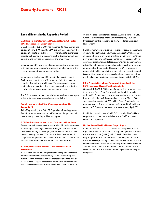#### *Special Events in the Reporting Period*

#### *E.ON Propels Digitalization and Develops New Solutions for a Digital, Sustainable Energy World*

*Since September 2021, E.ON has deepened its cloud-computing collaboration with Microsoft and Wipro Limited. The aim of the collaboration is to make IT processes more flexible, to increase operating efficiency, and to accelerate the development of new solutions and services for customers and employees.*

*In September E.ON also entered into a cooperative arrangement with IBM Quantum in order to propel the transformation of the energy industry with quantum computing.*

*In addition, in September E.ON acquired a majority stake in Aachen-based start-up gridX, the energy industry's leading provider of smart-grid intelligence. The company develops digital platform solutions that connect, control, and optimize distributed energy resources, such as electric cars.*

*The E.ON website contains more information about these topics at <https://www.eon.com/en/about-us/media.html>*

#### *Patrick Lammers Joins E.ON SE Management Board in August 2021*

*At its May meeting, the E.ON SE Supervisory Board appointed Patrick Lammers as successor to Karsten Wildberger, who left the Company in late July at his own request.*

#### *E.ON Sends Assistance from across Germany to Flood Areas*

*Severe storms in western Germany in July 2021 led to considerable damage, including to electricity and gas networks. After the heavy flooding, E.ON employees worked around the clock to restore energy service. Within a few days, the number of people without power in the service territory of E.ON subsidiary Westnetz was reduced from 200,000 to a few thousand.* 

#### *E.ON Supports United Nations' "Decade for Ecosystem Restoration"*

*E.ON is the world's first energy company to support the United Nations Environment Programme ("UNEP") in restoring ecosystems in the interest of climate protection and biodiversity. E.ON, Europe's largest operator of electricity distribution networks, will create valuable biotopes under 13,000 kilometers* 

*of high-voltage lines in forested areas. E.ON is a partner in UNEP, which commemorated World Environment Day on June 5 by proclaiming this decade to be the "Decade for Ecosystem Restoration."*

*E.ON has many years of experience in the ecological management of power-line pathways and already manages 8,000 hectares of such pathways in an environmentally friendly way. The Group now intends to draw on this experience across Europe. E.ON is convinced that healthy and stable ecosystems play an important role in the fight against climate change because they store large amounts of carbon dioxide. This is why E.ON is investing a double-digit million sum in the preservation of ecosystems and is committed to adopting ecological pathway management for overhead power lines in forested areas Group-wide by 2026.*

#### *E.ON Presents Green Bond Framework Aligned with the EU Taxonomy and Issues First Bond under It*

*On March 1, 2021, E.ON became Europe's first corporate issuer to present a Green Bond Framework that is in full compliance with the EU Taxonomy's criteria for sustainable economic activities and with the draft Delegated Acts. In late March E.ON successfully marketed a €750 million Green Bond under the new framework. The bond matures in October 2032 and has a coupon of 0.6 percent. Issuance took place in early April 2021.*

*In addition, in mid-January 2021 E.ON issued a €600 million corporate bond that matures in December 2028 and has a coupon of 0.1 percent.*

#### *Nuclear Power/Residual Power Output Rights*

*In the first half of 2021, 10.7 TWh of residual power output rights were acquired from the company that operates Krümmel nuclear power plant ("NPP") and 3.7 TWh of residual power output rights were acquired from the company that operates Brunsbüttel NPP; these rights were transferred to Grohnde, Isar II, and Brokdorf NPPs, which are operated by PreussenElektra GmbH. This and other planned procurements will ensure that these NPPs can operate until the end of their legally mandated operating lives.*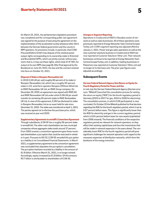*On March 25, 2021, the parliamentary legislative procedure was completed and the corresponding public-law agreement was signed for the purpose of executing the agreement on the implementation of the accelerated nuclear phaseout after 2011 between the German federal government and the country's NPP operators. Its provisions include, in particular, that E.ON/ PreussenElektra GmbH may dispose of the residual power output rights corresponding to its ownership stake in Krümmel and Brunsbüttel NPPs, which are jointly owned, without payment; that is, it may use these rights, which total 47.8 TWh, for output at its own NPPs (see page 8). After final approval by the Bundesrat on June 25, 2021, the law and the contract entered into force on October 31, 2021.*

#### *Disposal of Stake in Rampion Renewables Ltd*

*In 2019 E.ON UK plc sold roughly 60 percent of its stake in Rampion Renewables Ltd, which has a roughly 50-percent stake in U.K. wind farm operator Rampion Offshore Wind Ltd, to RWE Renewables UK Ltd, an RWE Group company. On December 29, 2020, an agreement was signed with RWE AG and RWE Renewables UK Ltd under which E.ON UK plc would transfer its remaining 40-percent stake to RWE Renewables UK Ltd. In view of this agreement, E.ON has disclosed its stake in Rampion Renewables Ltd as an asset held for sale since December 31, 2020. The stake was transferred on April 1, 2021. The parties agreed not to disclose the purchase price, which was received at year-end 2020.* 

#### *Supplementary Agreements to enviaM's Consortium Agreement*

*Through subsidiaries, E.ON SE has a roughly 59-percent stake in enviaM AG. The other main shareholders are two municipal companies whose aggregate stake totals around 37 percent. From 2002 onward, a consortium agreement gave these municipal shareholders a put option that could be exercised in whole or in part. Pursuant to IAS 32, E.ON SE recorded this put option as a liability in its Consolidated Financial Statements. In March 2021, a supplementary agreement to the consortium agreement was concluded that stipulates the put option's cancellation. The put option had been recorded as a liability in the amount of €1.8 billion. Effective March 31, 2021, it no longer existed. Accordingly, equity increased by €1.8 billion. Of this amount, €0.7 billion is attributable to shareholders of E.ON SE.* 

#### *Changes in Segment Reporting*

*Operations in Croatia and at VSEH in Slovakia consist of network as well as sales businesses. All of these operations were previously reported at Energy Networks' East-Central Europe/ Turkey unit. E.ON's segment reporting was adjusted effective January 1, 2021. Power and gas sales operations as well as the new customer solutions business in Croatia and at VSEH are now reported at Customer Solutions' Other unit. Their network businesses continue to be reported at Energy Networks' East-Central Europe/Turkey unit. In addition, heating businesses in Poland are now reported at Customer Solutions' Other unit and no longer at its Germany unit. The prior-year figures were adjusted accordingly.* 

#### *Subsequent Events*

#### *German Federal Network Agency Sets Return on Equity for Fourth Regulatory Period for Power and Gas*

*In mid-July the German Federal Network Agency (German acronym: "BNetzA") launched the consultation process for setting the return on equity ("ROE") for the fourth regulatory period in Germany (2023 to 2027 for gas, 2024 to 2028 for electricity). The consultation process, in which E.ON participated, is now concluded. On October 20 the BNetzA published its final decision regarding the ROE for the fourth regulatory period, which it set at 5.07 percent before taxes. This figure is significantly lower than the ROE for electricity and gas in the current regulatory period, which is 6.91 percent before taxes for new assets (capitalized from 2006 onward). The financial conditions of the respective regulatory period are relevant for network operators, as they affect their existing capital base and thus the investments that will be made in network expansion in the years ahead. The considerably lower ROE for the fourth regulatory period will pose significant challenges for network operators with regard to the necessary expansion of distribution networks, which form the backbone of the energy transition.*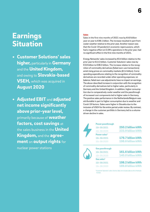# *Earnings Situation*

*• Customer Solutions' sales higher, particularly in Germany and the United Kingdom, and owing to Slovakia-based VSEH, which was acquired in August 2020*

*• Adjusted EBIT and adjusted net income significantly above prior-year level, primarily because of weather factors, cost savings at the sales business in the United Kingdom, and the agreement on output rights for* 

*nuclear power stations*

#### *Sales*

*Sales in the first nine months of 2021 rose by €4.8 billion year on year to €48.1 billion. The increase resulted in part from cooler weather relative to the prior year. Another reason was that the Covid-19 pandemic's economic repercussions, which had a negative effect on E.ON's operations in the prior year, had no significant effect in the first nine months of 2021.*

*Energy Networks' sales increased by €0.4 billion relative to the prior year to €13.3 billion. Customer Solutions' sales rose by €3.8 billion to €38.3 billion. The increase relates to the recognition of commodity derivatives (failed own-use transactions) amid rising prices on commodity markets (€2.4 billion). Corresponding expenditures relating to the recognition of commodity derivatives are recorded under other operating expenses; on balance, failed own-use adjustments have no impact on earnings. The above-described increase in conjunction with the recognition of commodity derivatives led to higher sales, particularly in Germany and the United Kingdom. In addition, higher consumption due to comparatively cooler weather and the passthrough of increased cost components led to higher sales in Germany. The positive sales performance in the Netherlands/Belgium was attributable in part to higher consumption due to weather and Covid-19 factors. Sales were higher in Slovakia due to the inclusion of VSEH for the entire period under review. By contrast, a change in the customer portfolio in Germany led to a volumedriven decline in sales.*

| <b>Power passth</b>      |
|--------------------------|
| 1Q-3Q 2021               |
| 1Q-3Q 2020               |
| Power sales <sup>1</sup> |
| 1Q-3Q 2021               |
| חמחמ חכ" חו              |

*Power passthrough 1Q–3Q 2021 250.2 billion kWh 1Q–3Q 2020 233.9 billion kWh 1Q–3Q 2021 179.7 billion kWh 1Q–3Q 2020 198.6 billion kWh*



*Gas passthrough Gas sales1*

*1Q–3Q 2021 161.6 billion kWh 1Q–3Q 2020 140.0 billion kWh*

*1Q–3Q 2021 198.2 billion kWh 1Q–3Q 2020 189.8 billion kWh*

*1Customer Solutions' sales volume; does not include sales to the wholesale market.*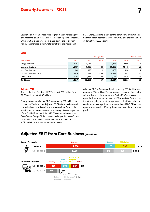*Sales at Non-Core Business were slightly higher, increasing by €45 million to €1.1 billion. Sales recorded at Corporate Functions/ Other of €8.6 billion were €7.6 billion above the prior-year figure. The increase is mainly attributable to the inclusion of* 

*E.ON Energy Markets, a new central commodity procurement unit that began operating in October 2020, and the recognition of derivatives (€0.8 billion).*

#### *Sales*

|                           |          |          | Third quarter |           |          | Nine months    |
|---------------------------|----------|----------|---------------|-----------|----------|----------------|
| $\epsilon$ in millions    | 2021     | 2020     | $+1 - \%$     | 2021      | 2020     | $+/-$ %        |
| <b>Energy Networks</b>    | 4.204    | 4,181    |               | 13.268    | 12.889   | 3              |
| <b>Customer Solutions</b> | 12,016   | 9.880    | 22            | 38.263    | 34.442   | 11             |
| <b>Non-Core Business</b>  | 363      | 332      | 9             | 1.073     | 1.028    | $\overline{4}$ |
| Corporate Functions/Other | 3.826    | 293      | 1.206         | 8.641     | 993      | 770            |
| Consolidation             | $-5,362$ | $-1.875$ | $-186$        | $-13.158$ | $-6.038$ | $-118$         |
| <b>E.ON Group</b>         | 15,047   | 12,811   | 17            | 48,087    | 43,314   | 11             |

#### *Adjusted EBIT*

*The core business's adjusted EBIT rose by €700 million, from €2,390 million to €3,068 million.*

*Energy Networks' adjusted EBIT increased by €85 million year on year to €2,414 million. Adjusted EBIT in Germany improved primarily due to positive volume effects resulting from cooler weather and to the non-recurrence of the negative consequences of the Covid-19 pandemic in 2020. The network business in East-Central Europe/Turkey posted the largest increase (8 percent), which was mainly attributable to the inclusion of VSEH in Slovakia for the entire period under review.* 

*Adjusted EBIT at Customer Solutions rose by €515 million year on year to €901 million. The reasons were likewise higher sales volume due to cooler weather and Covid-19 effects as well as operating improvements in nearly all E.ON markets. Cost savings from the ongoing restructuring program in the United Kingdom continued to have a positive impact on adjusted EBIT. This development was partially offset by the streamlining of the customer portfolio.*

# *Adjusted EBIT from Core Business (€ in millions)*

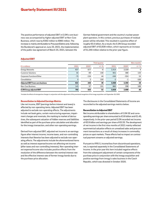*The positive performance of adjusted EBIT in E.ON's core business was accompanied by higher adjusted EBIT at Non-Core Business, which rose by €562 million to €860 million. The increase is mainly attributable to PreussenElektra and, following the Bundesrat's approval on June 25, 2021, the implementation of the public-law agreement of March 25, 2021, between the* 

*German federal government and the country's nuclear power plant operators. In this context, previous purchases of residual power will be refunded. This resulted in a positive effect of roughly €0.5 billion. As a result, the E.ON Group recorded adjusted EBIT of €3,928 million, which represents an increase of €1,240 million relative to the prior-year figure.*

#### *Adjusted EBIT*

|       |        | Third quarter |        |        | Nine months        |
|-------|--------|---------------|--------|--------|--------------------|
| 2021  | 20201  | $+1 - \%$     | 2021   | 20201  | $+1 - \frac{9}{6}$ |
| 637   | 677    | $-6$          | 2,414  | 2,329  | $\overline{4}$     |
| 55    | $-99$  | 156           | 901    | 386    | 133                |
| $-75$ | $-134$ | 44            | $-245$ | $-324$ | 24                 |
|       | c      | 150           | $-2$   | $-1$   | $-100$             |
| 622   | 446    | 39            | 3.068  | 2,390  | 28                 |
| 143   | 57     | 151           | 860    | 298    | 189                |
| 765   | 503    | 52            | 3.928  | 2.688  | 46                 |
|       |        |               |        |        |                    |

*1Includes the effects of retrospective changes in conjunction with the adjustment of the provisional recognition of the innogy acquisition until September 18, 2020.*

#### *Reconciliation to Adjusted Earnings Metrics*

*Like net income, EBIT (earnings before interest and taxes) is affected by non-operating items. Adjusted EBIT has been adjusted to exclude non-operating effects. The adjustments include net book gains, certain restructuring expenses, impairment charges and reversals, the marking to market of derivatives, the subsequent valuation of hidden reserves and liabilities identified as part of the purchase-price calculation and allocation for the innogy transaction, and other non-operating earnings.*

*Derived from adjusted EBIT, adjusted net income is an earnings figure after interest income, income taxes, and non-controlling interests that likewise has been adjusted to exclude non-operating effects. The adjustments include the aforementioned items as well as interest expense/income not affecting net income (after taxes and non-controlling interests). Non-operating interest expense/income also includes positive effects from the resolution of the difference between the nominal interest rate and the effective interest rate of former innogy bonds due to the purchase-price allocation.*

*The disclosures in the Consolidated Statements of Income are reconciled to the adjusted earnings metrics below.*

#### *Reconciliation to Adjusted EBIT*

*Net income attributable to shareholders of E.ON SE and corresponding earnings per share amounted to €3.8 billion and €1.45, respectively. In the prior-year period E.ON recorded net income of €0.9 billion and earnings per share of €0.33. The development of net income in the first nine months of 2021 mainly reflected asymmetrical valuation effects on unrealized sales and procurement transactions as a result of sharp increases in commodity prices on spot markets. These effects had no impact on contractual payment streams or adjusted earnings.*

*Pursuant to IFRS 5, income/loss from discontinued operations, net, is reported separately in the Consolidated Statements of Income. In the prior year this item included negative effects from the subsequent adjustment of certain components of the purchase price in conjunction with the innogy acquisition and positive earnings from innogy's sales business in the Czech Republic, which was divested in October 2020.*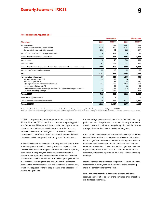#### *Reconciliation to Adjusted EBIT*

|                                                                                                                                                                                                                                                                                               |                                                | Third quarter                                          |                                                             | Nine months                                           |
|-----------------------------------------------------------------------------------------------------------------------------------------------------------------------------------------------------------------------------------------------------------------------------------------------|------------------------------------------------|--------------------------------------------------------|-------------------------------------------------------------|-------------------------------------------------------|
| $\epsilon$ in millions                                                                                                                                                                                                                                                                        | 2021                                           | 20201,2                                                | 2021                                                        | 20201,2                                               |
| Net income/loss<br>Attributable to shareholders of E.ON SE<br>Attributable to non-controlling interests                                                                                                                                                                                       | 1,131<br>1.236<br>$-105$                       | 731<br>700<br>31                                       | 3,903<br>3.784<br>119                                       | 1,058<br>861<br>197                                   |
| Income/Loss from discontinued operations, net                                                                                                                                                                                                                                                 |                                                | $-24$                                                  |                                                             | 39                                                    |
| Income/Loss from continuing operations                                                                                                                                                                                                                                                        | 1,131                                          | 707                                                    | 3.903                                                       | 1,097                                                 |
| Income taxes                                                                                                                                                                                                                                                                                  | 15                                             | 42                                                     | 736                                                         | 691                                                   |
| <b>Financial results</b>                                                                                                                                                                                                                                                                      | 62                                             | 219                                                    | 357                                                         | 496                                                   |
| Income/Loss from continuing operations before financial results and income taxes                                                                                                                                                                                                              | 1,208                                          | 968                                                    | 4,996                                                       | 2,284                                                 |
| Income/Loss from equity investments                                                                                                                                                                                                                                                           | 33                                             | $-16$                                                  | 99                                                          | 39                                                    |
| <b>EBIT</b>                                                                                                                                                                                                                                                                                   | 1,241                                          | 952                                                    | 5.095                                                       | 2,323                                                 |
| Non-operating adjustments<br>Net book gains (-)/losses (+)<br>Restructuring expenses<br>Effects from derivative financial instruments<br>Impairments (+)/Reversals (-)<br>Carryforward of hidden reserves (+) and liabilities (-) from the innogy transaction<br>Other non-operating earnings | $-476$<br>25<br>113<br>$-424$<br>159<br>$-349$ | $-449$<br>$-59$<br>85<br>$-508$<br>68<br>147<br>$-182$ | $-1.167$<br>$-34$<br>289<br>$-1,625$<br>12<br>514<br>$-323$ | 365<br>$-218$<br>390<br>$-157$<br>84<br>477<br>$-211$ |
| <b>Adjusted EBIT</b>                                                                                                                                                                                                                                                                          | 765                                            | 503                                                    | 3,928                                                       | 2,688                                                 |
| Impairments (+)/Reversals (-)                                                                                                                                                                                                                                                                 | 24                                             | 3                                                      | 32                                                          | 6                                                     |
| Scheduled depreciation and amortization                                                                                                                                                                                                                                                       | 720                                            | 781                                                    | 2,317                                                       | 2,272                                                 |
| <b>Adjusted EBITDA</b>                                                                                                                                                                                                                                                                        | 1.509                                          | 1.287                                                  | 6.277                                                       | 4.966                                                 |

*1Includes the effects of retrospective changes in conjunction with the adjustment of the provisional recognition of the innogy acquisition until September 18, 2020.*

*2Prior-year figures were adjusted owing to changes in intraperiod additions to provisions for contingent losses on pending transactions (cost of materials: -€173 million; income taxes: +€21 million).*

*E.ON's tax expense on continuing operations rose from €691 million to €736 million. The tax rate in the reporting period was 16 percent. This was mainly due to the marking-to-market of commodity derivatives, which in some cases led to no tax expense. The reason for the higher tax rate in the prior-year period was a one-off item related to the revaluation of deferred tax assets, which was partially offset by taxes for prior years.*

*Financial results improved relative to the prior-year period. Both interest expenses on debt financing as well as expenses from the accrual of provisions for pensions were lower in the reporting period than in the prior year. This was partially offset by a decline in non-operating interest income, which also included positive effects in the amount of €209 million (prior-year period: €249 million) resulting from the resolution of the difference between the nominal interest rate and the effective interest rate, which was adjusted owing to the purchase-price allocation, of former innogy bonds.*

*Restructuring expenses were lower than in the 2020 reporting period and, as in the prior year, consisted primarily of expenditures in conjunction with the innogy integration and the restructuring of the sales business in the United Kingdom.*

*Effects from derivative financial instruments rose by €1,468 million to €1,625 million. The sharp increase in commodity prices led to a significant increase in in other operating income from derivative financial instruments on unrealized sales and procurement transactions. It also resulted in a significant increase in provisions, which are recorded in cost of materials. These temporary effects are reported on a net basis in non-operating earnings.*

*Net book gains were lower than the prior-year figure. The main factor in the current year was the transfer of the remaining stake in Rampion wind farm to RWE.*

*Items resulting from the subsequent valuation of hidden reserves and liabilities as part of the purchase-price allocation are disclosed separately.*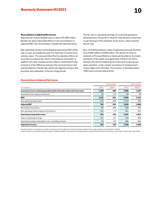*Adjusted net income doubled year on year to €2,189 million. Besides the above-described effects in the reconciliation to adjusted EBIT, this reconciliation includes the following items:* 

*Non-operating interest income/expense declined by €20 million year on year, principally because of a reduction in income from previous years. This was partially offset by valuation effects on securities recorded at fair value on the balance-sheet date. In addition, this item includes positive effects resulting from the resolution of the difference between the nominal interest rate and the effective interest rate, which was adjusted owing to the purchase-price allocation, of former innogy bonds.*

*The tax rate on operating earnings of continuing operations decreased from 25 percent in the prior-year period to 23 percent, in part because of the utilization of tax losses, which lowered the tax rate.*

*Non-controlling interests' share of operating earnings declined from €300 million to €268 million. The decline in minority interests at PreussenElektra is mainly attributable to the implementation of the public-law agreement of March 25, 2021, between the German federal government and nuclear power plant operators. In this context, purchases of residual power output rights were refunded. The inclusion of Slovakia-based VSEH was a countervailing factor.*

#### *Reconciliation to Adjusted Net Income*

|                                                                                  |        | Third quarter | Nine months |         |
|----------------------------------------------------------------------------------|--------|---------------|-------------|---------|
| $\epsilon$ in millions                                                           | 2021   | $2020^{1,2}$  | 2021        | 20201,2 |
| Income/Loss from continuing operations before financial results and income taxes | 1,208  | 968           | 4,996       | 2,284   |
| Income/Loss from equity investments                                              | 33     | $-16$         | 99          | 39      |
| <b>EBIT</b>                                                                      | 1,241  | 952           | 5,095       | 2,323   |
| Non-operating adjustments                                                        | $-476$ | $-449$        | $-1,167$    | 365     |
| <b>Adjusted EBIT</b>                                                             | 765    | 503           | 3,928       | 2,688   |
| Net interest income/loss                                                         | $-95$  | $-203$        | $-456$      | $-535$  |
| Non-operating interest expense (+)/income (-)                                    | $-145$ | $-74$         | $-281$      | $-301$  |
| <b>Operating earnings before taxes</b>                                           | 525    | 226           | 3,191       | 1,852   |
| Taxes on operating earnings                                                      | $-121$ | $-57$         | $-734$      | $-463$  |
| Operating earnings attributable to non-controlling interests                     | 20     | $-30$         | $-268$      | $-300$  |
| <b>Adjusted net income</b>                                                       | 424    | 139           | 2,189       | 1,089   |

*1Includes the effects of retrospective changes in conjunction with the adjustment of the provisional recognition of the innogy acquisition until September 18, 2020.*

*2Prior-year figures were adjusted owing to changes in intraperiod additions to provisions for contingent losses on pending transactions (cost of materials: -€173 million; income taxes: +€21 million).*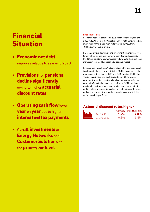# *Financial Situation*

- *Economic net debt improves relative to year-end 2020*
- *Provisions for pensions decline significantly owing to higher actuarial discount rates*
- *Operating cash flow lower year on year due to higher interest and tax payments*
- *Overall, investments at Energy Networks and Customer Solutions at the prior-year level*

#### *Financial Position*

*Economic net debt declined by €3.6 billion relative to year-end 2020 (€40.7 billion) to €37.2 billion. E.ON's net financial position improved by €0.9 billion relative to year-end 2020, from -€24 billion to -€23.1 billion.* 

*E.ON SE's dividend payment and investment expenditures were largely offset by positive operating cash flow and disposals. In addition, collateral payments received owing to the significant increase in commodity prices had a positive impact.*

*Financial liabilities of €31.4 billion include E.ON SE's issuance of two bonds in the current year totaling €1.4 billion as well as the repayment of three bonds (GBP and EUR) totaling €2.4 billion. The increase in financial liabilities is attributable to adverse currency-translation effects on bonds denominated in foreign currencies (effects that were largely offset in E.ON's net financial position by positive effects from foreign-currency hedging) and to collateral payments received in conjunction with power and gas procurement transactions, which, by contrast, led to an increase in liquid funds.* 

## *Actuarial discount rates higher*



|               |         | <b>Germany</b> United Kingdom |
|---------------|---------|-------------------------------|
| Sep. 30, 2021 | $1.2\%$ | <b>2.0%</b>                   |
| Dec. 31, 2020 | $0.8\%$ | 1.4%                          |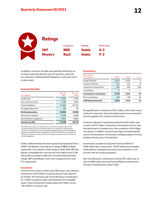| ۰ |
|---|
|---|

| <b>Ratings</b> |            |                |            |
|----------------|------------|----------------|------------|
|                | Long-term  | <b>Outlook</b> | Short-term |
| <b>S&amp;P</b> | <b>BBB</b> | <b>Stable</b>  | $A-2$      |
| <b>Moody's</b> | Baa2       | <b>Stable</b>  | $P-2$      |

*In addition, economic net debt was positively affected by an increase in actuarial discount rates for pensions, which led to a reduction in defined benefit obligations, and by the return on plan assets.*

#### *Investments*

| Nine months                         |       |        |           |
|-------------------------------------|-------|--------|-----------|
| $\epsilon$ in millions              | 2021  | 2020   | $+1 - \%$ |
| <b>Energy Networks</b>              | 2,075 | 2,022  | 3         |
| <b>Customer Solutions</b>           | 471   | 513    | -8        |
| Corporate Functions/Other           | 185   | $-320$ | 158       |
| Consolidation                       | $-2$  |        |           |
| <b>Investments in core business</b> | 2.729 | 2.215  | 23        |
| Non-Core Business                   | 184   | 159    | 16        |
| <b>E.ON Group investments</b>       | 2.913 | 2.374  | 23        |

#### *Economic Net Debt*

| $\epsilon$ in millions                    | Sep. 30,<br>2021 | Dec. 31.<br>2020 |
|-------------------------------------------|------------------|------------------|
| Liquid funds                              | 6.231            | 4.795            |
| Non-current securities                    | 1.785            | 1.887            |
| $Financial$ liabilities <sup>1</sup>      | $-31,365$        | $-30,720$        |
| FX hedging adjustment                     | 266              | 82               |
| <b>Net financial position</b>             | $-23.083$        | $-23.956$        |
| Provisions for pensions                   | $-6.036$         | $-8.088$         |
| Asset-retirement obligations <sup>2</sup> | $-8.050$         | $-8.692$         |
| <b>Economic net debt</b>                  | $-37,169$        | -40.736          |

<sup>1</sup>Bonds issued by innogy are recorded at their nominal value. The figure shown in the *Consolidated Balance Sheets is €2 billion higher (year-end 2020: €2.1 billion higher). 2This figure is not the same as the asset-retirement obligations shown in the Consolidated Balance Sheets (€9,325 million at September 30, 2021; €10,194 million at December 31, 2020). This is because economic net debt is calculated in part based on the actual amount of E.ON's obligations.* 

*E.ON's creditworthiness has been assessed by Standard & Poor's ("S&P") and Moody's with long-term ratings of BBB and Baa2, respectively. The outlook for both ratings is stable. Both S&P and Moody's anticipated that, over the near and medium term, E.ON will be able to maintain a debt ratio commensurate with these ratings. S&P's and Moody's short-term ratings are at A-2 and P-2, respectively.*

#### *Investments*

*In the first nine months of 2021 the E.ON Group's cash-effective investments of €2.9 billion surpassed the prior-year figure of €2.4 billion. As in the prior year, the E.ON Group invested about €2.7 billion in property, plant, and equipment and intangible assets. Share investments totaled about €0.2 billion versus -€0.3 billion in the prior year.*

*Energy Networks' investments of €2.1 billion, which were nearly at the prior-year level, went principally toward new connections and the upgrade of its network infrastructure.*

*Customer Solutions' investments declined by €42 million year on year to €471 million. Investments were below the prior-year level particularly in Sweden due to the completion of the Högbytorp project. In addition, the prior-year figure included expenditures for the acquisition of Coromatic, a leading supplier of critical building infrastructure in Scandinavia.* 

*Investments recorded at Corporate Functions/Other of €185 million (prior-year period: -€320 million) are principally attributable to subsequent purchase-price payments in conjunction with the innogy acquisition.*

*Non-Core Business's investments rose by €25 million year on year to €184 million because PreussenElektra invested more to acquire residual power output rights.*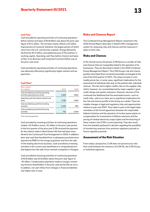#### *Cash Flow*

*Cash provided by operating activities of continuing operations before interest and taxes of €4.8 billion was above the prior-year figure of €4.1 billion. The increase mainly reflects a €1 billion improvement at Customer Solutions, the largest portion of which came from the U.K. and German markets. Energy Networks declined by €0.3 billion, principally because of fluctuations in working capital. Operating cash flow before interest and taxes at Non-Core Business and Corporate Functions/Other was at the prior-year level.*

*Cash provided by operating activities of continuing operations was adversely affected by significantly higher interest and tax payments.*

#### *Cash Flow1*

| Nine months<br>$\epsilon$ in millions                                     | 2021     | 2020   |
|---------------------------------------------------------------------------|----------|--------|
| Cash provided by (used for) operating<br>activities (operating cash flow) | 3.409    | 3.662  |
| Operating cash flow before interest and<br>taxes                          | 4.780    | 4.063  |
| Cash provided by (used for) investing<br>activities                       | $-2,595$ | -960   |
| Cash provided by (used for) financing<br>activities                       | 761      | -2.044 |

*1From continuing operations.*

*Cash provided by investing activities of continuing operations totaled -€2.6 billion versus -€1 billion in the prior-year period. In the first quarter of the prior year E.ON received the payment for the indirect stake in Nord Stream AG that had been transferred to the Contractual Trust Arrangement in 2019. In addition, prior-year cash flow benefited from a subsequent purchase-price payment by RWE for the innogy acquisition and from the sale of the heating electricity business. Cash provided by investing activities in the current year benefitted to a comparatively limited degree from the sale of two network companies in Hungary.*

*Cash provided by financing activities of continuing operations of €0.8 billion was €2.8 billion above the prior-year figure of -€2 billion. Compensation payments made to innogy's remaining minority shareholders in the prior-year period did not recur. In addition, net cash inflow from changes in financial liabilities was higher year on year.* 

#### *Risks and Chances Report*

*The Combined Group Management Report contained in the 2020 Annual Report describes in detail E.ON's management system for assessing risks and chances and the measures it takes to limit risks.* 

#### *Risks and Chances*

*In the normal course of business, E.ON faces to a number of risks and chances that are inseparably linked to the operation of its businesses. They are described in detail in the 2020 Combined Group Management Report. The E.ON Group's risk and chance position described there remained essentially unchanged at the end of the third quarter of 2021. The sharp increase in commodity prices has, in some cases, significant implications for the assessment of individual risks and, on the positive side, individual chances. This has led to higher credits risks on the supplier side, which, however, are counterbalanced by major suppliers' good credit ratings and system relevance. However, because of the continued low likelihood that the associated events—such as credit risks—will occur, there are no significant implications for the risk and chances profile of the Group as a whole. There are notable changes in legal and regulatory risks and opportunities relative to year-end 2020. They relate in part to the legal implementation of the formal agreement between the responsible federal ministries and the operators of nuclear power plants on compensation for investments in lifetime extension and the pricing of residual electricity output rights and the factoring of these matters into E.ON's current planning. They also result from the Swedish parliament's decision regarding the possibility of transferring revenues from previous regulatory periods to future regulatory periods.*

#### *Assessment of the Risk Situation*

*From today's perspective, E.ON does not perceive any risks that could threaten the existence of E.ON SE, the E.ON Group, or individual segments.*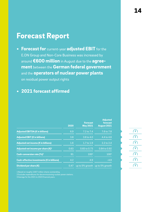# *Forecast Report*

*• Forecast for current-year adjusted EBIT for the E.ON Group and Non-Core Business was increased by around €600 million in August due to the agreement between the German federal government and the operators of nuclear power plants on residual power output rights* 

# *• 2021 forecast affirmed*

|                                              | 2020 | <b>Forecast</b><br><b>May 2021</b> | <b>Adjusted</b><br>forecast<br><b>August 2021</b> |
|----------------------------------------------|------|------------------------------------|---------------------------------------------------|
| Adjusted EBITDA (€ in billions)              | 6.9  | 7.2 to 7.4                         | 7.6 to 7.8                                        |
| Adjusted EBIT (€ in billions)                | 3.8  | 3.8 to 4.0                         | 4.4 to 4.6                                        |
| Adjusted net income (€ in billions)          | 1.6  | 1.7 to $1.9$                       | 2.2 to 2.4                                        |
| Adjusted net income per share $(\epsilon)^1$ | 0.63 | 0.65 to 0.73                       | 0.84 to 0.92                                      |
| Cash-conversion rate (%) <sup>2</sup>        | 91   | 100 <sup>3</sup>                   | 1003                                              |
| Cash-effective investments (€ in billions)   | 4.2  | 4.9                                | $-4.9$                                            |
| Dividend per share $(\epsilon)$              | 0.47 | up to 5% growth up to 5% growth    |                                                   |

*2 Excludes expenditures for decommissioning nuclear power stations.*

*3 Average for the 2021 to 2023 financial years.*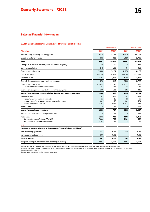#### *Selected Financial Information*

#### *E.ON SE and Subsidiaries Consolidated Statements of Income*

|                                                                                                                                                               |                              | Third quarter<br>Nine months  |                                 |                                 |  |  |  |
|---------------------------------------------------------------------------------------------------------------------------------------------------------------|------------------------------|-------------------------------|---------------------------------|---------------------------------|--|--|--|
| $\epsilon$ in millions                                                                                                                                        | 2021                         | 20201                         | 2021                            | 20201                           |  |  |  |
| Sales including electricity and energy taxes                                                                                                                  | 15,379                       | 13,132                        | 50,016                          | 45,102                          |  |  |  |
| Electricity and energy taxes                                                                                                                                  | $-332$                       | $-321$                        | $-1,929$                        | $-1,788$                        |  |  |  |
| <b>Sales</b>                                                                                                                                                  | 15,047                       | 12,811                        | 48,087                          | 43,314                          |  |  |  |
| Changes in inventories (finished goods and work in progress)                                                                                                  | 48                           | 100                           | 135                             | 238                             |  |  |  |
| Own work capitalized                                                                                                                                          | 142                          | 183                           | 434                             | 413                             |  |  |  |
| Other operating incomes                                                                                                                                       | 21.688                       | 1.124                         | 31,278                          | 6.125                           |  |  |  |
| Cost of materials <sup>2</sup>                                                                                                                                | $-21,750$                    | $-9,901$                      | $-49,144$                       | $-33,284$                       |  |  |  |
| Personnel costs                                                                                                                                               | $-1,392$                     | $-1,414$                      | $-4,258$                        | $-4,255$                        |  |  |  |
| Depreciation, amortization and impairment charges                                                                                                             | $-878$                       | $-916$                        | $-2,805$                        | $-2,722$                        |  |  |  |
| Other operating expenses<br><b>Thereof: Impairments of Financial Assets</b>                                                                                   | $-11,855$<br>$-57$           | $-1,140$<br>$-62$             | $-19,122$<br>$-244$             | $-7.885$<br>$-179$              |  |  |  |
| Income from companies accounted for under the equity method                                                                                                   | 158                          | 121                           | 391                             | 340                             |  |  |  |
| Income from continuing operations before financial results and income taxes                                                                                   | 1,208                        | 968                           | 4.996                           | 2.284                           |  |  |  |
| <b>Financial results</b><br>Income/Loss from equity investments<br>Income from other securities, interest and similar income<br>Interest and similar expenses | $-62$<br>33<br>207<br>$-302$ | $-219$<br>$-16$<br>92<br>-295 | $-357$<br>99<br>561<br>$-1.017$ | $-496$<br>39<br>514<br>$-1.049$ |  |  |  |
| Income taxes <sup>2</sup>                                                                                                                                     | $-15$                        | $-42$                         | $-736$                          | $-691$                          |  |  |  |
| Income from continuing operations                                                                                                                             | 1,131                        | 707                           | 3,903                           | 1,097                           |  |  |  |
| Income/Loss from discontinued operations, net                                                                                                                 |                              | 24                            |                                 | $-39$                           |  |  |  |
| <b>Net income</b><br>Attributable to shareholders of E.ON SE<br>Attributable to non-controlling interests                                                     | 1,131<br>1,236<br>$-105$     | 731<br>700<br>31              | 3,903<br>3,784<br>119           | 1,058<br>861<br>197             |  |  |  |
| in $\epsilon$                                                                                                                                                 |                              |                               |                                 |                                 |  |  |  |
| Earnings per share (attributable to shareholders of E.ON SE)-basic and diluted <sup>3</sup>                                                                   |                              |                               |                                 |                                 |  |  |  |
| from continuing operations                                                                                                                                    | 0.47                         | 0.26                          | 1.45                            | 0.35                            |  |  |  |
| from discontinued operations                                                                                                                                  | 0.00                         | 0.01                          |                                 | $-0.02$                         |  |  |  |
| from net income                                                                                                                                               | 0.47                         | 0.27                          | 1.45                            | 0.33                            |  |  |  |
| Weighted-average number of shares outstanding (in millions)                                                                                                   | 2.607                        | 2.607                         | 2.607                           | 2.607                           |  |  |  |

<sup>1</sup>Including the effects of retrospective changes in connection with the adjustment of the provisional recognition of the innogy acquisition until September 18, 2020.<br><sup>2</sup>Prior-year figures were adjusted retrospectively ow

*income taxes: +€21 million). 3Based on weighted-average number of shares outstanding.*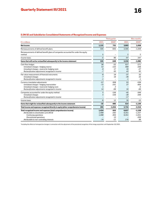#### *E.ON SE and Subsidiaries Consolidated Statements of Recognized Income and Expenses*

|                                                                                                                                                                                                                      |                                  | Third quarter                             |                                | Nine months                                      |  |
|----------------------------------------------------------------------------------------------------------------------------------------------------------------------------------------------------------------------|----------------------------------|-------------------------------------------|--------------------------------|--------------------------------------------------|--|
| $\epsilon$ in millions                                                                                                                                                                                               | 2021                             | 20201                                     | 2021                           | 20201                                            |  |
| <b>Net income</b>                                                                                                                                                                                                    | 1,131                            | 731                                       | 3,903                          | 1,058                                            |  |
| Remeasurements of defined benefit plans                                                                                                                                                                              | 325                              | $-635$                                    | 2,305                          | $-1,329$                                         |  |
| Remeasurements of defined benefit plans of companies accounted for under the equity<br>method                                                                                                                        | 5                                |                                           | $\overline{2}$                 | 2                                                |  |
| Income taxes                                                                                                                                                                                                         | $-5$                             | 86                                        | $-97$                          | 247                                              |  |
| Items that will not be reclassified subsequently to the income statement                                                                                                                                             | 325                              | $-549$                                    | 2,210                          | $-1,080$                                         |  |
| Cash flow hedges<br>Unrealized changes-hedging reserve<br>Unrealized changes-reserve for hedging costs<br>Reclassification adjustments recognized in income                                                          | 36<br>52<br>$-9$<br>$-7$         | $-52$<br>$-132$<br>17<br>63               | 527<br>468<br>16<br>43         | $-271$<br>$-336$<br>$-27$<br>92                  |  |
| Fair value measurement of financial instruments<br><b>Unrealized changes</b><br>Reclassification adjustments recognized in income                                                                                    | $-8$<br>$-7$<br>$-1$             | 19<br>19                                  | $-37$<br>$-36$<br>$-1$         | 32<br>33<br>$-1$                                 |  |
| Currency-translation adjustments<br>Unrealized changes-hedging reserve/other<br>Unrealized changes-reserve for hedging costs<br>Reclassification adjustments recognized in income                                    | $-57$<br>$-72$<br>1<br>14        | $-308$<br>$-241$<br>2<br>$-69$            | 53<br>37<br>16                 | $-538$<br>$-464$<br>$-5$<br>$-69$                |  |
| Companies accounted for under the equity method<br>Unrealized changes<br>Reclassification adjustments recognized in income                                                                                           | 5<br>5                           | $-156$<br>$-156$                          | $-45$<br>$-28$<br>$-17$        | $-349$<br>$-349$                                 |  |
| Income taxes                                                                                                                                                                                                         | $-8$                             | 12                                        | 16                             | $-10$                                            |  |
| Items that might be reclassified subsequently to the income statement                                                                                                                                                | $-32$                            | $-485$                                    | 514                            | $-1.136$                                         |  |
| Total income and expenses recognized directly in equity (other comprehensive income)                                                                                                                                 | 293                              | $-1,034$                                  | 2.724                          | $-2.216$                                         |  |
| Total recognized income and expenses (total comprehensive income)<br>Attributable to shareholders of E.ON SE<br>Continuing operations<br><b>Discontinued operations</b><br>Attributable to non-controlling interests | 1,424<br>1,498<br>1,498<br>$-74$ | $-303$<br>$-292$<br>$-305$<br>13<br>$-11$ | 6,627<br>6,351<br>6,351<br>276 | $-1,158$<br>$-1,257$<br>$-1,051$<br>$-206$<br>99 |  |

*1Including the effects of retrospective changes in connection with the adjustment of the provisional recognition of the innogy acquisition until September 18, 2020.*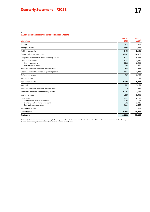### *´ E.ON SE and Subsidiaries Balance Sheets—Assets*

| $\epsilon$ in millions                                                                                                  | Sep. 30,<br>2021               | Dec. 31,<br>20201                |
|-------------------------------------------------------------------------------------------------------------------------|--------------------------------|----------------------------------|
| Goodwill <sup>2</sup>                                                                                                   | 17,875                         | 17,827                           |
| Intangible assets                                                                                                       | 3,568                          | 3,855                            |
| Right-of-use assets                                                                                                     | 2,495                          | 2,543                            |
| Property, plant and equipment                                                                                           | 36,967                         | 36,923                           |
| Companies accounted for under the equity method                                                                         | 4,231                          | 4,383                            |
| Other financial assets<br><b>Equity investments</b><br>Non-current securities                                           | 3,744<br>1,959<br>1,785        | 3.770<br>1,883<br>1,887          |
| Financial receivables and other financial assets                                                                        | 688                            | 622                              |
| Operating receivables and other operating assets                                                                        | 13,937                         | 3,244                            |
| Deferred tax assets                                                                                                     | 1,797                          | 2,283                            |
| Income tax assets                                                                                                       | 3                              | 34                               |
| Non-current assets                                                                                                      | 85,305                         | 75,484                           |
| Inventories                                                                                                             | 1,291                          | 1,131                            |
| Financial receivables and other financial assets                                                                        | 1,226                          | 445                              |
| Trade receivables and other operating assets                                                                            | 21,362                         | 11,525                           |
| Income tax assets                                                                                                       | 1,120                          | 1,003                            |
| Liquid funds<br>Securities and fixed-term deposits<br>Restricted cash and cash equivalents<br>Cash and cash equivalents | 6,231<br>1,205<br>762<br>4,264 | 4,795<br>1,111<br>1,016<br>2,668 |
| Assets held for sale                                                                                                    | 323                            | 1,002                            |
| <b>Current assets</b>                                                                                                   | 31,553                         | 19,901                           |
| <b>Total assets</b>                                                                                                     | 116,858                        | 95,385                           |

<sup>1</sup>Certain adjustments to the preliminary accounting for the innogy acquisition, which was provisional until September 18, 2020, must be presented retrospectively to the acquisition date.<br><sup>2</sup>Includes the preliminary differ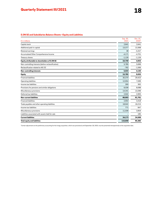#### *E.ON SE and Subsidiaries Balance Sheets—Equity and Liabilities*

| $\epsilon$ in millions                              | Sep. 30,<br>2021 | Dec. 31.<br>20201 |
|-----------------------------------------------------|------------------|-------------------|
| Capital stock                                       | 2,641            | 2.641             |
| Additional paid-in capital                          | 13,377           | 13,368            |
| Retained earnings                                   | 38               | $-5,257$          |
| Accumulated Other Comprehensive Income              | $-4,171$         | $-4,701$          |
| Treasury shares                                     | $-1,126$         | $-1,126$          |
| Equity attributable to shareholders of E.ON SE      | 10,759           | 4,925             |
| Non-controlling interests (before reclassification) | 5,785            | 5,696             |
| Reclassification related to IAS 32                  | $-762$           | $-1,566$          |
| <b>Non-controlling interests</b>                    | 5,023            | 4,130             |
| <b>Equity</b>                                       | 15,782           | 9.055             |
| <b>Financial liabilities</b>                        | 30,370           | 29,423            |
| <b>Operating liabilities</b>                        | 12,954           | 7,599             |
| Income tax liabilities                              | 260              | 362               |
| Provisions for pensions and similar obligations     | 6,036            | 8,088             |
| Miscellaneous provisions                            | 14,341           | 13,296            |
| Deferred tax liabilities                            | 2,942            | 2,993             |
| <b>Non-current liabilities</b>                      | 66,903           | 61.761            |
| <b>Financial liabilities</b>                        | 2,954            | 3.418             |
| Trade payables and other operating liabilities      | 18,942           | 16,215            |
| Income tax liabilities                              | 771              | 847               |
| Miscellaneous provisions                            | 11,506           | 3,904             |
| Liabilities associated with assets held for sale    |                  | 185               |
| <b>Current liabilities</b>                          | 34,173           | 24,569            |
| <b>Total equity and liabilities</b>                 | 116,858          | 95,385            |

<sup>1</sup>Certain adjustments to the preliminary accounting for the innogy acquisition, which was provisional until September 18, 2020, must be presented retrospectively to the acquisition date.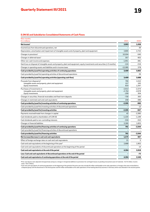#### *E.ON SE and Subsidiaries Consolidated Statements of Cash Flows*

| Nine months<br>$\epsilon$ in millions                                                                                       | 2021                         | 2020                        |
|-----------------------------------------------------------------------------------------------------------------------------|------------------------------|-----------------------------|
| Net income <sup>1</sup>                                                                                                     | 3,903                        | 1,058                       |
| Income/Loss from discontinued operations, net                                                                               |                              | 39                          |
| Depreciation, amortization and impairment of intangible assets and of property, plant and equipment                         | 2,805                        | 2,722                       |
| Changes in provisions <sup>1</sup>                                                                                          | 10,504                       | $-540$                      |
| Changes in deferred taxes <sup>1</sup>                                                                                      | 357                          | 602                         |
| Other non-cash income and expenses                                                                                          | $-1,951$                     | $-381$                      |
| Gain/Loss on disposal of intangible assets and property, plant and equipment, equity investments and securities (>3 months) | $-124$                       | $-216$                      |
| Changes in operating assets and liabilities and in income taxes                                                             | $-12,085$                    | 378                         |
| Cash provided by (used for) operating activities of continuing operations                                                   | 3,409                        | 3,662                       |
| Cash provided by (used for) operating activities of discontinued operations                                                 |                              | 26                          |
| Cash provided by (used for) operating activities (operating cash flow)                                                      | 3,409                        | 3,688                       |
| Proceeds from disposal of<br>Intangible assets and property, plant and equipment<br><b>Equity investments</b>               | 790<br>157<br>633            | 1,510<br>163<br>1,347       |
| Purchases of investments in<br>Intangible assets and property, plant and equipment<br><b>Equity investments</b>             | $-2.913$<br>$-2,704$<br>-209 | $-2,374$<br>$-2,678$<br>304 |
| Changes in securities, financial receivables and fixed-term deposits                                                        | $-730$                       | 300                         |
| Changes in restricted cash and cash equivalents                                                                             | 258                          | $-396$                      |
| Cash provided by (used for) investing activities of continuing operations                                                   | $-2,595$                     | -960                        |
| Cash provided by (used for) investing activities of discontinued operations                                                 |                              | 13                          |
| Cash provided by (used for) investing activities                                                                            | $-2.595$                     | -947                        |
| Payments received/made from changes in capital                                                                              | 42                           | $-2,360$                    |
| Cash dividends paid to shareholders of E.ON SE                                                                              | $-1.225$                     | $-1,199$                    |
| Cash dividends paid to non-controlling interests                                                                            | $-316$                       | $-310$                      |
| Changes in financial liabilities                                                                                            | 2.260                        | 1.825                       |
| Cash provided by (used for) financing activities of continuing operations                                                   | 761                          | -2,044                      |
| Cash provided by (used for) financing activities of discontinued operations                                                 |                              |                             |
| Cash provided by (used for) financing activities                                                                            | 761                          | -2,044                      |
| Net increase/decrease in cash and cash equivalents                                                                          | 1,575                        | 697                         |
| Effect of foreign exchange rates on cash and cash equivalents                                                               | 21                           | 5                           |
| Cash and cash equivalents at the beginning of the year <sup>2</sup>                                                         | 2,668                        | 1,902                       |
| Cash and cash equivalents of discontinued operations at the beginning of the period                                         |                              | 14                          |
| Cash and cash equivalents at the end of the period                                                                          | 4,264                        | 2,618                       |
| Less: Cash and cash equivalents of discontinued operations at the end of the period                                         |                              | $-72$                       |
| Cash and cash equivalents of continuing operations at the end of the period                                                 | 4,264                        | 2,546                       |

<sup>1</sup>Prior-year figures were adjusted retrospectively owing to a change in intraperiod additions to provisions for contingent losses on pending transactions (cost of materials: -€173 million; income<br>\*Cash and cash equivale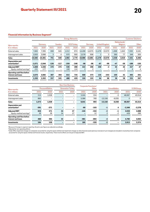#### *Financial Information by Business Segment 1*

|                                                             |              |              | <b>Customer Solutions</b><br><b>Energy Networks</b> |                                 |            |                   |          |          |                |                       |         |                                |          |         |
|-------------------------------------------------------------|--------------|--------------|-----------------------------------------------------|---------------------------------|------------|-------------------|----------|----------|----------------|-----------------------|---------|--------------------------------|----------|---------|
| Nine months                                                 |              | Germany      |                                                     | Sweden                          |            | <b>ECE/Turkey</b> |          | Germany  |                | <b>United Kingdom</b> |         | Netherlands/<br><b>Belgium</b> |          | Other   |
| $\epsilon$ in millions                                      | 2021         | 2020         | 2021                                                | 2020                            | 2021       | 2020              | 2021     | 2020     | 2021           | 2020                  | 2021    | 2020                           | 2021     | 2020    |
| External sales                                              | 7,665        | 7,395        | 698                                                 | 645                             | 1,012      | 874               | 14,408   | 14,975   | 11,476         | 10.073                | 1,968   | 1,942                          | 7,092    | 6,161   |
| Intersegment sales                                          | 2,920        | 3.066        | 3                                                   | 4                               | 970        | 905               | 2,578    | 906      | $\overline{2}$ | 3                     | 390     | 77                             | 349      | 305     |
| <b>Sales</b>                                                | 10,585       | 10,461       | 701                                                 | 649                             | 1,982      | 1.779             | 16,986   | 15,881   | 11,478         | 10.076                | 2,358   | 2,019                          | 7,441    | 6,466   |
| <b>Depreciation and</b><br>amortization <sup>2</sup>        | $-1,071$     | $-1,044$     | $-126$                                              | $-117$                          | $-259$     | $-246$            | $-98$    | -96      | $-87$          | -99                   | $-47$   | -56                            | $-189$   | $-150$  |
| <b>Adjusted EBIT</b><br>Equity-method earnings <sup>3</sup> | 1.608<br>231 | 1.556<br>177 | 270                                                 | 275<br>$\overline{\phantom{0}}$ | 536<br>108 | 498<br>124        | 410<br>3 | 296<br>3 | 209            | $-2$<br>$-$           | 55<br>5 | 45<br>3                        | 227<br>6 | 47<br>4 |
| <b>Operating cash flow before</b><br>interest and taxes     | 2,670        | 3,082        | 387                                                 | 394                             | 815        | 725               | 668      | 373      | 135            | $-253$                | 100     | 41                             | 492      | 201     |
| <b>Investments</b>                                          | 1,330        | 1,352        | 257                                                 | 241                             | 488        | 429               | 150      | 152      | 64             | 66                    | 26      | 28                             | 231      | 267     |

|                                                             | <b>Non-Core Business</b> |                          |                          |                          | <b>Corporate Functions/</b> |              |               |              |                   |              |
|-------------------------------------------------------------|--------------------------|--------------------------|--------------------------|--------------------------|-----------------------------|--------------|---------------|--------------|-------------------|--------------|
| Nine months<br>$\epsilon$ in millions                       | PreussenElektra          |                          | <b>Generation Turkey</b> |                          | Other                       |              | Consolidation |              | <b>E.ON Group</b> |              |
|                                                             | 2021                     | 2020                     | 2021                     | 2020                     | 2021                        | 2020         | 2021          | 2020         | 2021              | 2020         |
| <b>External sales</b>                                       | 213                      | 1,028                    | -                        | $\overline{\phantom{a}}$ | 3,555                       | 224          |               | -3           | 48,087            | 43,314       |
| Intersegment sales                                          | 860                      | $\overline{\phantom{0}}$ |                          | $\overline{\phantom{a}}$ | 5,086                       | 769          | $-13,158$     | $-6,035$     | $\Omega$          | $\Omega$     |
| <b>Sales</b>                                                | 1,073                    | 1,028                    |                          | -                        | 8,641                       | 993          | $-13,158$     | $-6,038$     | 48,087            | 43,314       |
| <b>Depreciation and</b><br>amortization <sup>2</sup>        | $-391$                   | $-371$                   | -                        | -                        | -80                         | $-103$       | -1            | 4            | $-2,349$          | $-2,278$     |
| <b>Adjusted EBIT</b><br>Equity-method earnings <sup>3</sup> | 826<br>38                | 271<br>38                | 34<br>34                 | 27<br>27                 | $-245$                      | $-324$<br>12 | $-2$          | $-1$<br>$-2$ | 3,928<br>428      | 2,688<br>386 |
| <b>Operating cash flow before</b><br>interest and taxes     | 466                      | 394                      | 32                       | -                        | $-981$                      | $-892$       | -4            | $-2$         | 4,780             | 4,063        |
| <b>Investments</b>                                          | 184                      | 159                      |                          |                          | 185                         | $-320$       | $-2$          | -            | 2,913             | 2,374        |

*1Because of changes in segment reporting, the prior-year figure was adjusted accordingly.*

°Adjusted for non-operating effects.<br>°Under IFRS, impairment charges on companies accounted for using the equity method and impairment charges on other financial assets (and any reversals of such charges) are included in i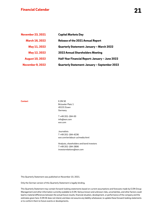| <b>November 23, 2021</b> | <b>Capital Markets Day</b>                      |  |  |  |  |  |
|--------------------------|-------------------------------------------------|--|--|--|--|--|
| <b>March 16, 2022</b>    | <b>Release of the 2021 Annual Report</b>        |  |  |  |  |  |
| May 11, 2022             | Quarterly Statement: January - March 2022       |  |  |  |  |  |
| May 12, 2022             | <b>2022 Annual Shareholders Meeting</b>         |  |  |  |  |  |
| <b>August 10, 2022</b>   | Half-Year Financial Report: January - June 2022 |  |  |  |  |  |
| <b>November 9, 2022</b>  | Quarterly Statement: January - September 2022   |  |  |  |  |  |

*Contact E.ON SE Brüsseler Platz 1 45131 Essen Germany*

> *T +49 201-184-00 info@eon.com eon.com*

*Journalists T +49 201-184-4236 eon.com/en/about-us/media.html*

*Analysts, shareholders and bond investors T +49 201-184-2806 investorrelations@eon.com*

*This Quarterly Statement was published on November 10, 2021.*

*Only the German version of this Quarterly Statement is legally binding.*

*This Quarterly Statement may contain forward-looking statements based on current assumptions and forecasts made by E.ON Group Management and other information currently available to E.ON. Various known and unknown risks, uncertainties, and other factors could*  lead to material differences between the actual future results, financial situation, development, or performance of the company and the *estimates given here. E.ON SE does not intend, and does not assume any liability whatsoever, to update these forward-looking statements or to conform them to future events or developments.*